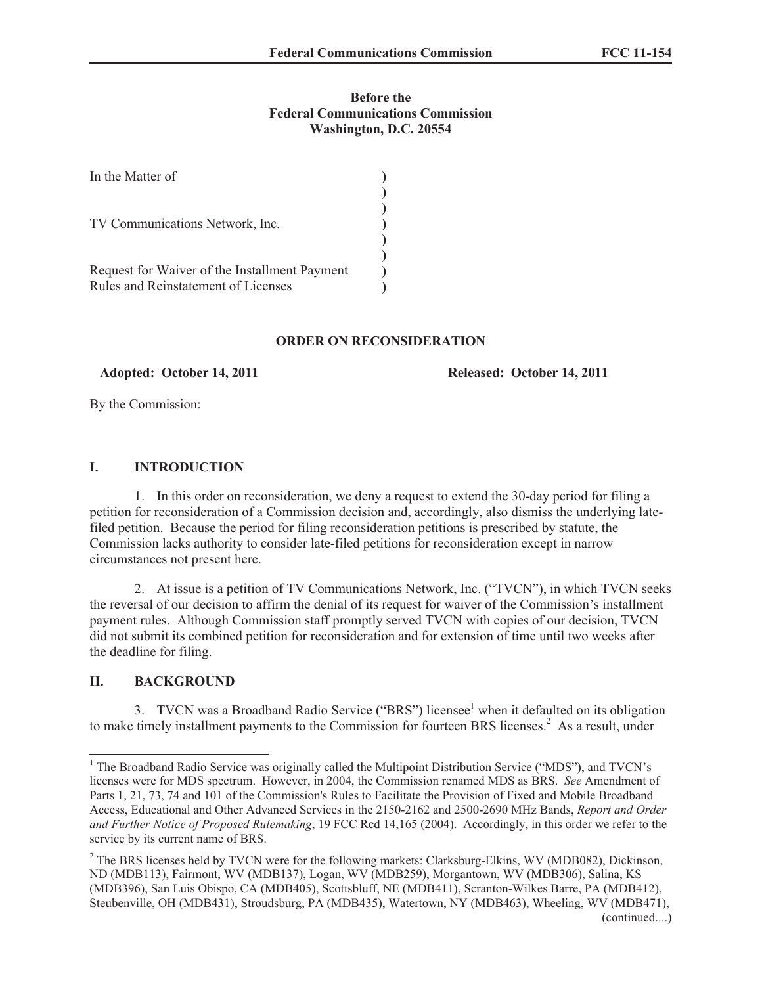## **Before the Federal Communications Commission Washington, D.C. 20554**

| In the Matter of                              |  |
|-----------------------------------------------|--|
| TV Communications Network, Inc.               |  |
|                                               |  |
|                                               |  |
| Request for Waiver of the Installment Payment |  |
| Rules and Reinstatement of Licenses           |  |

### **ORDER ON RECONSIDERATION**

**Adopted: October 14, 2011 Released: October 14, 2011**

By the Commission:

# **I. INTRODUCTION**

1. In this order on reconsideration, we deny a request to extend the 30-day period for filing a petition for reconsideration of a Commission decision and, accordingly, also dismiss the underlying latefiled petition. Because the period for filing reconsideration petitions is prescribed by statute, the Commission lacks authority to consider late-filed petitions for reconsideration except in narrow circumstances not present here.

2. At issue is a petition of TV Communications Network, Inc. ("TVCN"), in which TVCN seeks the reversal of our decision to affirm the denial of its request for waiver of the Commission's installment payment rules. Although Commission staff promptly served TVCN with copies of our decision, TVCN did not submit its combined petition for reconsideration and for extension of time until two weeks after the deadline for filing.

# **II. BACKGROUND**

3. TVCN was a Broadband Radio Service ("BRS") licensee<sup>1</sup> when it defaulted on its obligation to make timely installment payments to the Commission for fourteen BRS licenses.<sup>2</sup> As a result, under

<sup>&</sup>lt;sup>1</sup> The Broadband Radio Service was originally called the Multipoint Distribution Service ("MDS"), and TVCN's licenses were for MDS spectrum. However, in 2004, the Commission renamed MDS as BRS. *See* Amendment of Parts 1, 21, 73, 74 and 101 of the Commission's Rules to Facilitate the Provision of Fixed and Mobile Broadband Access, Educational and Other Advanced Services in the 2150-2162 and 2500-2690 MHz Bands, *Report and Order and Further Notice of Proposed Rulemaking*, 19 FCC Rcd 14,165 (2004). Accordingly, in this order we refer to the service by its current name of BRS.

<sup>&</sup>lt;sup>2</sup> The BRS licenses held by TVCN were for the following markets: Clarksburg-Elkins, WV (MDB082), Dickinson, ND (MDB113), Fairmont, WV (MDB137), Logan, WV (MDB259), Morgantown, WV (MDB306), Salina, KS (MDB396), San Luis Obispo, CA (MDB405), Scottsbluff, NE (MDB411), Scranton-Wilkes Barre, PA (MDB412), Steubenville, OH (MDB431), Stroudsburg, PA (MDB435), Watertown, NY (MDB463), Wheeling, WV (MDB471), (continued....)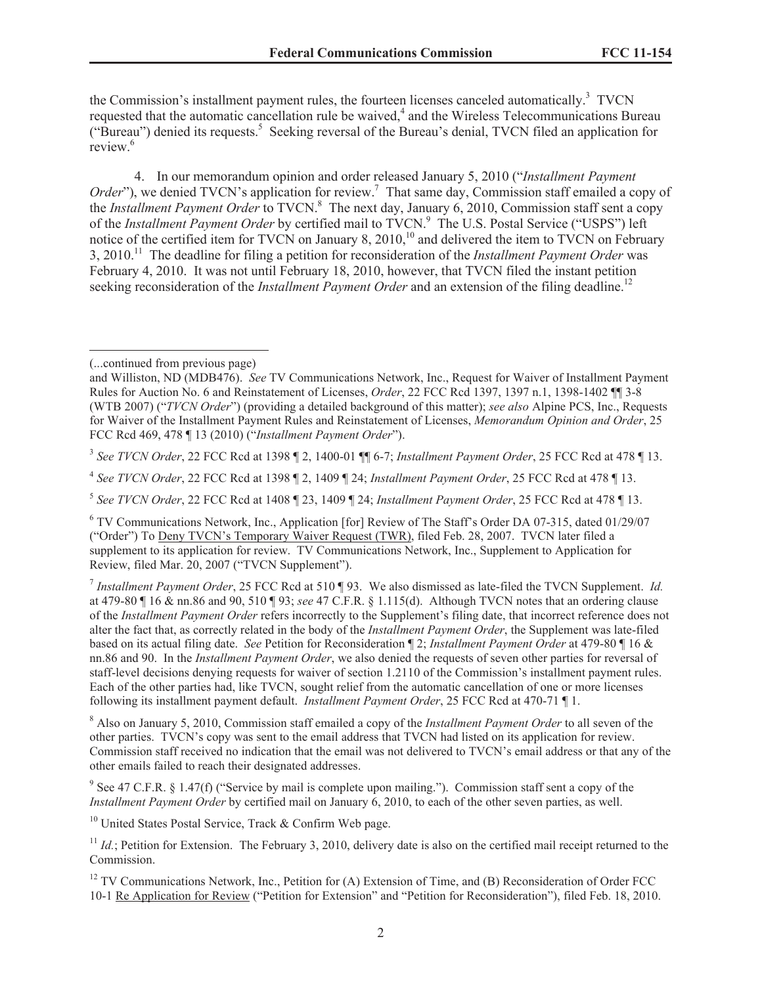the Commission's installment payment rules, the fourteen licenses canceled automatically.<sup>3</sup> TVCN requested that the automatic cancellation rule be waived,<sup>4</sup> and the Wireless Telecommunications Bureau ("Bureau") denied its requests.<sup>5</sup> Seeking reversal of the Bureau's denial, TVCN filed an application for review.<sup>6</sup>

4. In our memorandum opinion and order released January 5, 2010 ("*Installment Payment Order*"), we denied TVCN's application for review.<sup>7</sup> That same day, Commission staff emailed a copy of the *Installment Payment Order* to TVCN.<sup>8</sup> The next day, January 6, 2010, Commission staff sent a copy of the *Installment Payment Order* by certified mail to TVCN.<sup>9</sup> The U.S. Postal Service ("USPS") left notice of the certified item for TVCN on January 8,  $2010$ ,<sup>10</sup> and delivered the item to TVCN on February 3, 2010.<sup>11</sup> The deadline for filing a petition for reconsideration of the *Installment Payment Order* was February 4, 2010. It was not until February 18, 2010, however, that TVCN filed the instant petition seeking reconsideration of the *Installment Payment Order* and an extension of the filing deadline.<sup>12</sup>

5 *See TVCN Order*, 22 FCC Rcd at 1408 ¶ 23, 1409 ¶ 24; *Installment Payment Order*, 25 FCC Rcd at 478 ¶ 13.

<sup>8</sup> Also on January 5, 2010, Commission staff emailed a copy of the *Installment Payment Order* to all seven of the other parties. TVCN's copy was sent to the email address that TVCN had listed on its application for review. Commission staff received no indication that the email was not delivered to TVCN's email address or that any of the other emails failed to reach their designated addresses.

<sup>9</sup> See 47 C.F.R. § 1.47(f) ("Service by mail is complete upon mailing."). Commission staff sent a copy of the *Installment Payment Order* by certified mail on January 6, 2010, to each of the other seven parties, as well.

<sup>10</sup> United States Postal Service, Track  $\&$  Confirm Web page.

<sup>(...</sup>continued from previous page)

and Williston, ND (MDB476). *See* TV Communications Network, Inc., Request for Waiver of Installment Payment Rules for Auction No. 6 and Reinstatement of Licenses, *Order*, 22 FCC Rcd 1397, 1397 n.1, 1398-1402 ¶¶ 3-8 (WTB 2007) ("*TVCN Order*") (providing a detailed background of this matter); *see also* Alpine PCS, Inc., Requests for Waiver of the Installment Payment Rules and Reinstatement of Licenses, *Memorandum Opinion and Order*, 25 FCC Rcd 469, 478 ¶ 13 (2010) ("*Installment Payment Order*").

<sup>3</sup> *See TVCN Order*, 22 FCC Rcd at 1398 ¶ 2, 1400-01 ¶¶ 6-7; *Installment Payment Order*, 25 FCC Rcd at 478 ¶ 13.

<sup>4</sup> *See TVCN Order*, 22 FCC Rcd at 1398 ¶ 2, 1409 ¶ 24; *Installment Payment Order*, 25 FCC Rcd at 478 ¶ 13.

<sup>6</sup> TV Communications Network, Inc., Application [for] Review of The Staff's Order DA 07-315, dated 01/29/07 ("Order") To Deny TVCN's Temporary Waiver Request (TWR), filed Feb. 28, 2007. TVCN later filed a supplement to its application for review. TV Communications Network, Inc., Supplement to Application for Review, filed Mar. 20, 2007 ("TVCN Supplement").

<sup>7</sup> *Installment Payment Order*, 25 FCC Rcd at 510 ¶ 93. We also dismissed as late-filed the TVCN Supplement. *Id.*  at 479-80 ¶ 16 & nn.86 and 90, 510 ¶ 93; *see* 47 C.F.R. § 1.115(d). Although TVCN notes that an ordering clause of the *Installment Payment Order* refers incorrectly to the Supplement's filing date, that incorrect reference does not alter the fact that, as correctly related in the body of the *Installment Payment Order*, the Supplement was late-filed based on its actual filing date. *See* Petition for Reconsideration ¶ 2; *Installment Payment Order* at 479-80 ¶ 16 & nn.86 and 90. In the *Installment Payment Order*, we also denied the requests of seven other parties for reversal of staff-level decisions denying requests for waiver of section 1.2110 of the Commission's installment payment rules. Each of the other parties had, like TVCN, sought relief from the automatic cancellation of one or more licenses following its installment payment default. *Installment Payment Order*, 25 FCC Rcd at 470-71 ¶ 1.

 $11$  *Id.*; Petition for Extension. The February 3, 2010, delivery date is also on the certified mail receipt returned to the Commission.

<sup>&</sup>lt;sup>12</sup> TV Communications Network, Inc., Petition for (A) Extension of Time, and (B) Reconsideration of Order FCC 10-1 Re Application for Review ("Petition for Extension" and "Petition for Reconsideration"), filed Feb. 18, 2010.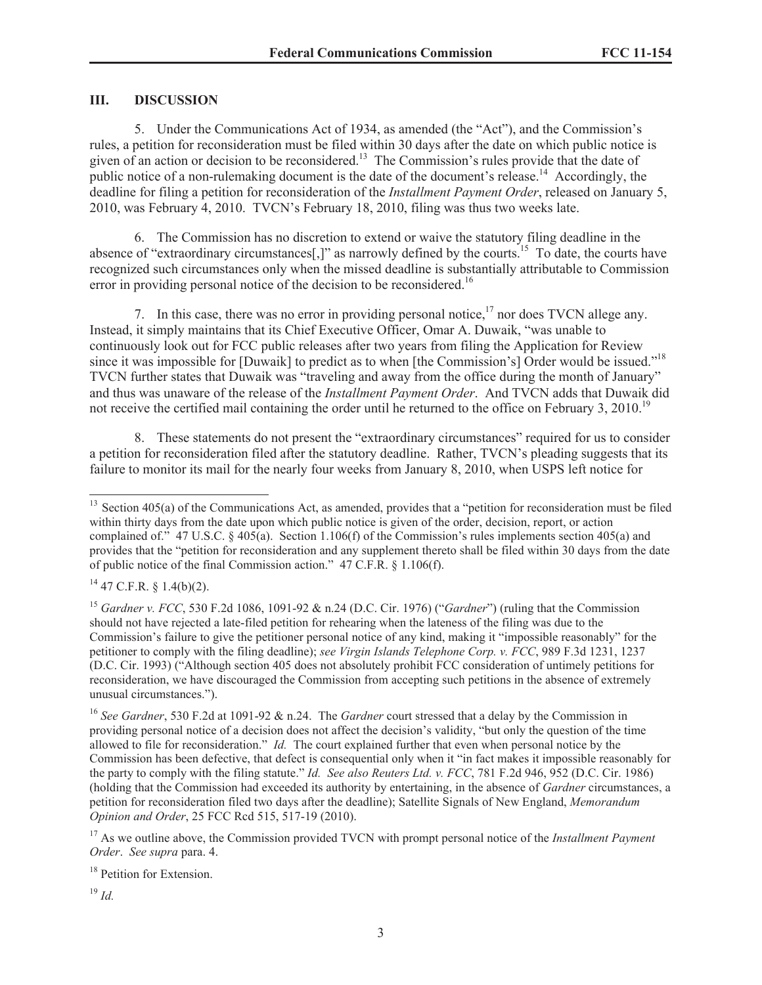## **III. DISCUSSION**

5. Under the Communications Act of 1934, as amended (the "Act"), and the Commission's rules, a petition for reconsideration must be filed within 30 days after the date on which public notice is given of an action or decision to be reconsidered.<sup>13</sup> The Commission's rules provide that the date of public notice of a non-rulemaking document is the date of the document's release.<sup>14</sup> Accordingly, the deadline for filing a petition for reconsideration of the *Installment Payment Order*, released on January 5, 2010, was February 4, 2010. TVCN's February 18, 2010, filing was thus two weeks late.

6. The Commission has no discretion to extend or waive the statutory filing deadline in the absence of "extraordinary circumstances<sup>[1]</sup>" as narrowly defined by the courts.<sup>15</sup> To date, the courts have recognized such circumstances only when the missed deadline is substantially attributable to Commission error in providing personal notice of the decision to be reconsidered.<sup>16</sup>

7. In this case, there was no error in providing personal notice,<sup>17</sup> nor does TVCN allege any. Instead, it simply maintains that its Chief Executive Officer, Omar A. Duwaik, "was unable to continuously look out for FCC public releases after two years from filing the Application for Review since it was impossible for [Duwaik] to predict as to when [the Commission's] Order would be issued."<sup>18</sup> TVCN further states that Duwaik was "traveling and away from the office during the month of January" and thus was unaware of the release of the *Installment Payment Order*. And TVCN adds that Duwaik did not receive the certified mail containing the order until he returned to the office on February 3, 2010.<sup>19</sup>

8. These statements do not present the "extraordinary circumstances" required for us to consider a petition for reconsideration filed after the statutory deadline. Rather, TVCN's pleading suggests that its failure to monitor its mail for the nearly four weeks from January 8, 2010, when USPS left notice for

 $14$  47 C.F.R. § 1.4(b)(2).

<sup>17</sup> As we outline above, the Commission provided TVCN with prompt personal notice of the *Installment Payment Order*. *See supra* para. 4.

<sup>18</sup> Petition for Extension.

<sup>19</sup> *Id.*

<sup>&</sup>lt;sup>13</sup> Section 405(a) of the Communications Act, as amended, provides that a "petition for reconsideration must be filed within thirty days from the date upon which public notice is given of the order, decision, report, or action complained of." 47 U.S.C. § 405(a). Section 1.106(f) of the Commission's rules implements section 405(a) and provides that the "petition for reconsideration and any supplement thereto shall be filed within 30 days from the date of public notice of the final Commission action." 47 C.F.R. § 1.106(f).

<sup>15</sup> *Gardner v. FCC*, 530 F.2d 1086, 1091-92 & n.24 (D.C. Cir. 1976) ("*Gardner*") (ruling that the Commission should not have rejected a late-filed petition for rehearing when the lateness of the filing was due to the Commission's failure to give the petitioner personal notice of any kind, making it "impossible reasonably" for the petitioner to comply with the filing deadline); *see Virgin Islands Telephone Corp. v. FCC*, 989 F.3d 1231, 1237 (D.C. Cir. 1993) ("Although section 405 does not absolutely prohibit FCC consideration of untimely petitions for reconsideration, we have discouraged the Commission from accepting such petitions in the absence of extremely unusual circumstances.").

<sup>16</sup> *See Gardner*, 530 F.2d at 1091-92 & n.24. The *Gardner* court stressed that a delay by the Commission in providing personal notice of a decision does not affect the decision's validity, "but only the question of the time allowed to file for reconsideration." *Id.* The court explained further that even when personal notice by the Commission has been defective, that defect is consequential only when it "in fact makes it impossible reasonably for the party to comply with the filing statute." *Id. See also Reuters Ltd. v. FCC*, 781 F.2d 946, 952 (D.C. Cir. 1986) (holding that the Commission had exceeded its authority by entertaining, in the absence of *Gardner* circumstances, a petition for reconsideration filed two days after the deadline); Satellite Signals of New England, *Memorandum Opinion and Order*, 25 FCC Rcd 515, 517-19 (2010).